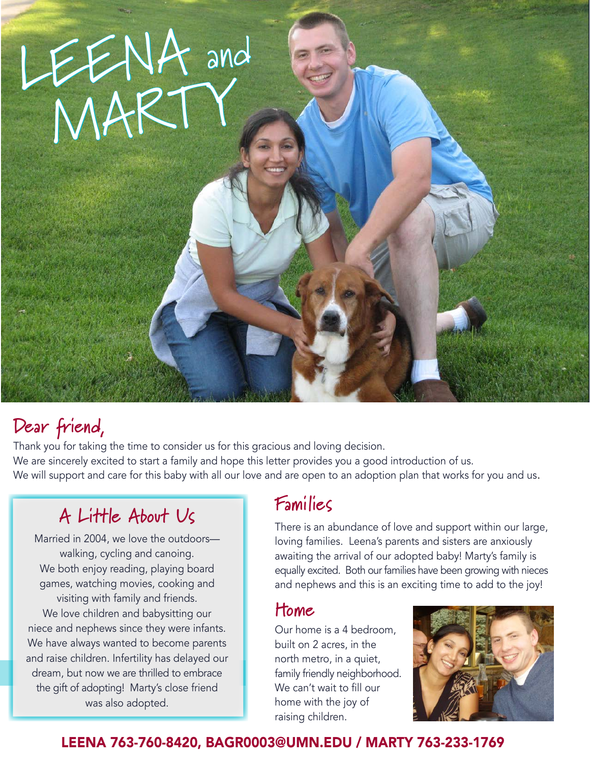

## **Dear friend,**

Thank you for taking the time to consider us for this gracious and loving decision. We are sincerely excited to start a family and hope this letter provides you a good introduction of us. We will support and care for this baby with all our love and are open to an adoption plan that works for you and us.

# **A Little About Us**

Married in 2004, we love the outdoors walking, cycling and canoing. We both enjoy reading, playing board games, watching movies, cooking and visiting with family and friends. We love children and babysitting our niece and nephews since they were infants. We have always wanted to become parents and raise children. Infertility has delayed our dream, but now we are thrilled to embrace the gift of adopting! Marty's close friend was also adopted.

### **Families**

There is an abundance of love and support within our large, loving families. Leena's parents and sisters are anxiously awaiting the arrival of our adopted baby! Marty's family is equally excited. Both our families have been growing with nieces and nephews and this is an exciting time to add to the joy!

### **Home**

Our home is a 4 bedroom, built on 2 acres, in the north metro, in a quiet, family friendly neighborhood. We can't wait to fill our home with the joy of raising children.



#### LEENA 763-760-8420, BAGR0003@UMN.EDU / MARTY 763-233-1769